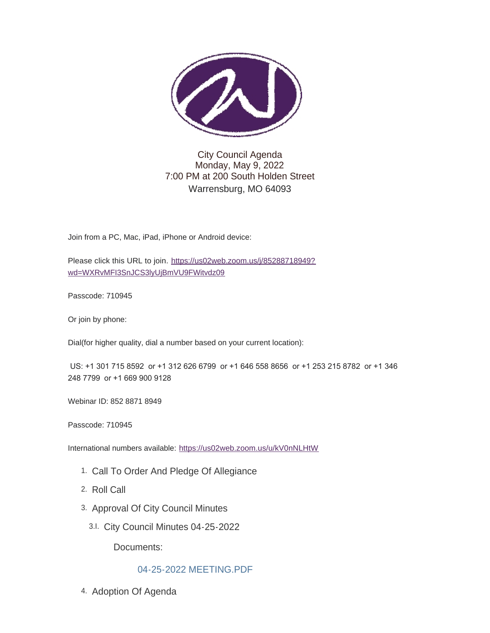

### City Council Agenda Monday, May 9, 2022 7:00 PM at 200 South Holden Street Warrensburg, MO 64093

Join from a PC, Mac, iPad, iPhone or Android device:

Please click this URL to join. [https://us02web.zoom.us/j/85288718949?](https://us02web.zoom.us/j/85288718949?pwd=WXRvMFI3SnJCS3lyUjBmVU9FWitvdz09) wd=WXRvMFI3SnJCS3lyUjBmVU9FWitvdz09

Passcode: 710945

Or join by phone:

Dial(for higher quality, dial a number based on your current location):

 US: +1 301 715 8592 or +1 312 626 6799 or +1 646 558 8656 or +1 253 215 8782 or +1 346 248 7799 or +1 669 900 9128

Webinar ID: 852 8871 8949

Passcode: 710945

International numbers available: <https://us02web.zoom.us/u/kV0nNLHtW>

- 1. Call To Order And Pledge Of Allegiance
- 2. Roll Call
- 3. Approval Of City Council Minutes
	- City Council Minutes 04-25-2022 3.I.

Documents:

[04-25-2022 MEETING.PDF](https://www.warrensburg-mo.com/AgendaCenter/ViewFile/Item/6555?fileID=11077)

4. Adoption Of Agenda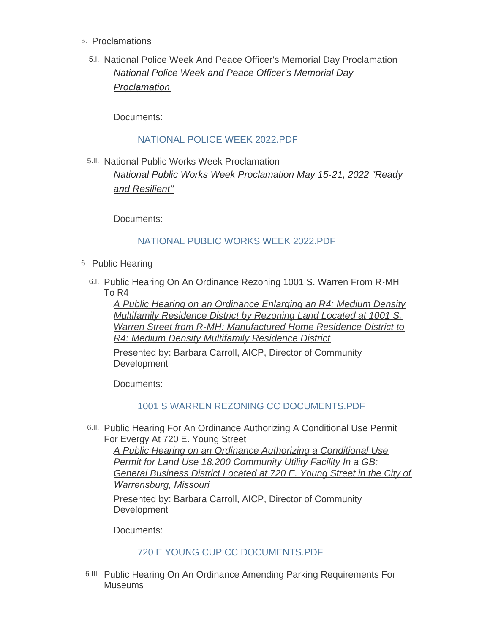- 5. Proclamations
	- 5.I. National Police Week And Peace Officer's Memorial Day Proclamation *National Police Week and Peace Officer's Memorial Day Proclamation*

Documents:

## [NATIONAL POLICE WEEK 2022.PDF](https://www.warrensburg-mo.com/AgendaCenter/ViewFile/Item/6352?fileID=11006)

5.II. National Public Works Week Proclamation *National Public Works Week Proclamation May 15-21, 2022 "Ready and Resilient"*

Documents:

### [NATIONAL PUBLIC WORKS WEEK 2022.PDF](https://www.warrensburg-mo.com/AgendaCenter/ViewFile/Item/6336?fileID=11001)

- 6. Public Hearing
	- 6.I. Public Hearing On An Ordinance Rezoning 1001 S. Warren From R-MH To R4

*A Public Hearing on an Ordinance Enlarging an R4: Medium Density Multifamily Residence District by Rezoning Land Located at 1001 S. Warren Street from R-MH: Manufactured Home Residence District to R4: Medium Density Multifamily Residence District*

Presented by: Barbara Carroll, AICP, Director of Community **Development** 

Documents:

### [1001 S WARREN REZONING CC DOCUMENTS.PDF](https://www.warrensburg-mo.com/AgendaCenter/ViewFile/Item/6329?fileID=11068)

6.II. Public Hearing For An Ordinance Authorizing A Conditional Use Permit For Evergy At 720 E. Young Street

*A Public Hearing on an Ordinance Authorizing a Conditional Use Permit for Land Use 18.200 Community Utility Facility In a GB: General Business District Located at 720 E. Young Street in the City of Warrensburg, Missouri* 

Presented by: Barbara Carroll, AICP, Director of Community Development

Documents:

### [720 E YOUNG CUP CC DOCUMENTS.PDF](https://www.warrensburg-mo.com/AgendaCenter/ViewFile/Item/6332?fileID=11066)

6.III. Public Hearing On An Ordinance Amending Parking Requirements For **Museums**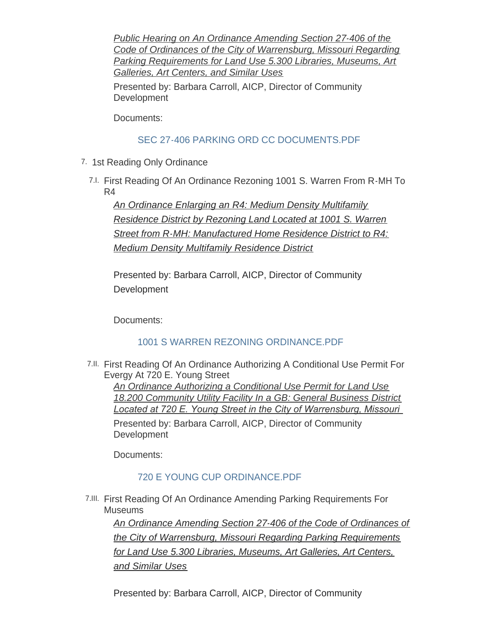*Public Hearing on An Ordinance Amending Section 27-406 of the Code of Ordinances of the City of Warrensburg, Missouri Regarding Parking Requirements for Land Use 5.300 Libraries, Museums, Art Galleries, Art Centers, and Similar Uses*

Presented by: Barbara Carroll, AICP, Director of Community **Development** 

Documents:

# [SEC 27-406 PARKING ORD CC DOCUMENTS.PDF](https://www.warrensburg-mo.com/AgendaCenter/ViewFile/Item/6326?fileID=11070)

- 7. 1st Reading Only Ordinance
	- First Reading Of An Ordinance Rezoning 1001 S. Warren From R-MH To 7.I. R4

*An Ordinance Enlarging an R4: Medium Density Multifamily Residence District by Rezoning Land Located at 1001 S. Warren Street from R-MH: Manufactured Home Residence District to R4: Medium Density Multifamily Residence District*

Presented by: Barbara Carroll, AICP, Director of Community **Development** 

Documents:

# [1001 S WARREN REZONING ORDINANCE.PDF](https://www.warrensburg-mo.com/AgendaCenter/ViewFile/Item/6330?fileID=11069)

First Reading Of An Ordinance Authorizing A Conditional Use Permit For 7.II. Evergy At 720 E. Young Street *An Ordinance Authorizing a Conditional Use Permit for Land Use 18.200 Community Utility Facility In a GB: General Business District Located at 720 E. Young Street in the City of Warrensburg, Missouri*  Presented by: Barbara Carroll, AICP, Director of Community **Development** 

Documents:

# [720 E YOUNG CUP ORDINANCE.PDF](https://www.warrensburg-mo.com/AgendaCenter/ViewFile/Item/6333?fileID=11067)

First Reading Of An Ordinance Amending Parking Requirements For 7.III. Museums

*An Ordinance Amending Section 27-406 of the Code of Ordinances of the City of Warrensburg, Missouri Regarding Parking Requirements for Land Use 5.300 Libraries, Museums, Art Galleries, Art Centers, and Similar Uses*

Presented by: Barbara Carroll, AICP, Director of Community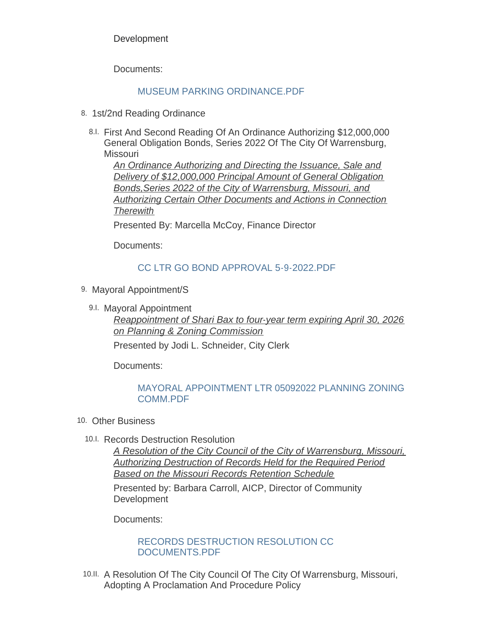**Development** 

Documents:

### [MUSEUM PARKING ORDINANCE.PDF](https://www.warrensburg-mo.com/AgendaCenter/ViewFile/Item/6327?fileID=11071)

- 8. 1st/2nd Reading Ordinance
	- First And Second Reading Of An Ordinance Authorizing \$12,000,000 8.I. General Obligation Bonds, Series 2022 Of The City Of Warrensburg, **Missouri**

*An Ordinance Authorizing and Directing the Issuance, Sale and Delivery of \$12,000,000 Principal Amount of General Obligation Bonds,Series 2022 of the City of Warrensburg, Missouri, and Authorizing Certain Other Documents and Actions in Connection Therewith*

Presented By: Marcella McCoy, Finance Director

Documents:

### [CC LTR GO BOND APPROVAL 5-9-2022.PDF](https://www.warrensburg-mo.com/AgendaCenter/ViewFile/Item/6556?fileID=11082)

- 9. Mayoral Appointment/S
	- 9.I. Mayoral Appointment

*Reappointment of Shari Bax to four-year term expiring April 30, 2026 on Planning & Zoning Commission* Presented by Jodi L. Schneider, City Clerk

Documents:

### [MAYORAL APPOINTMENT LTR 05092022 PLANNING ZONING](https://www.warrensburg-mo.com/AgendaCenter/ViewFile/Item/6355?fileID=11024)  COMM.PDF

- 10. Other Business
	- 10.I. Records Destruction Resolution

*A Resolution of the City Council of the City of Warrensburg, Missouri, Authorizing Destruction of Records Held for the Required Period Based on the Missouri Records Retention Schedule*

Presented by: Barbara Carroll, AICP, Director of Community **Development** 

Documents:

[RECORDS DESTRUCTION RESOLUTION CC](https://www.warrensburg-mo.com/AgendaCenter/ViewFile/Item/6456?fileID=11037)  DOCUMENTS.PDF

10.II. A Resolution Of The City Council Of The City Of Warrensburg, Missouri, Adopting A Proclamation And Procedure Policy